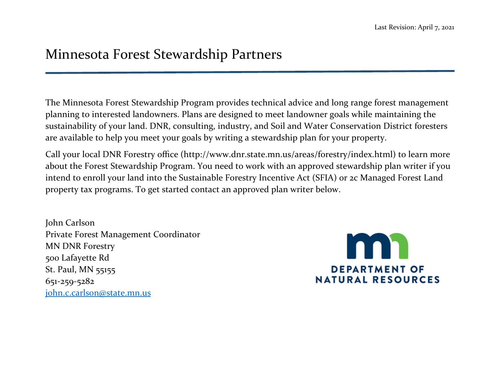## Minnesota Forest Stewardship Partners

The Minnesota Forest Stewardship Program provides technical advice and long range forest management planning to interested landowners. Plans are designed to meet landowner goals while maintaining the sustainability of your land. DNR, consulting, industry, and Soil and Water Conservation District foresters are available to help you meet your goals by writing a stewardship plan for your property.

Call your local DNR Forestry office (http://www.dnr.state.mn.us/areas/forestry/index.html) to learn more about the Forest Stewardship Program. You need to work with an approved stewardship plan writer if you intend to enroll your land into the Sustainable Forestry Incentive Act (SFIA) or 2c Managed Forest Land property tax programs. To get started contact an approved plan writer below.

John Carlson Private Forest Management Coordinator MN DNR Forestry 500 Lafayette Rd St. Paul, MN 55155 651-259-5282 [john.c.carlson@state.mn.us](mailto:john.c.carlson@state.mn.us)

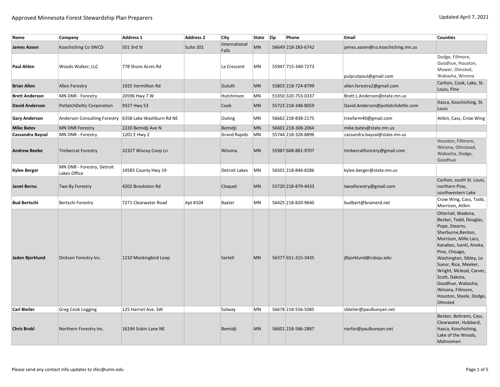| Name                  | Company                                               | <b>Address 1</b>      | <b>Address 2</b> | <b>City</b>            | State Zip | Phone              | <b>Email</b>                      | <b>Counties</b>                                                                                                                                                                                                                                                                                                                           |
|-----------------------|-------------------------------------------------------|-----------------------|------------------|------------------------|-----------|--------------------|-----------------------------------|-------------------------------------------------------------------------------------------------------------------------------------------------------------------------------------------------------------------------------------------------------------------------------------------------------------------------------------------|
| <b>James Aasen</b>    | Koochiching Co SWCD                                   | 501 3rd St            | Suite 201        | International<br>Falls | <b>MN</b> | 56649 218-283-6742 | james.aasen@co.koochiching.mn.us  |                                                                                                                                                                                                                                                                                                                                           |
| <b>Paul Ahlen</b>     | Woods Walker, LLC                                     | 778 Shore Acres Rd    |                  | La Crescent            | MN        | 55947 715-340-7273 | pulpcutpaul@gmail.com             | Dodge, Fillmore,<br>Goodhue, Houston,<br>Mower, Olmsted,<br>Wabasha, Winona                                                                                                                                                                                                                                                               |
| <b>Brian Allen</b>    | <b>Allen Forestry</b>                                 | 1925 Vermillion Rd    |                  | Duluth                 | <b>MN</b> | 55803 218-724-8799 | allen.forestry2@gmail.com         | Carlton, Cook, Lake, St.<br>Louis, Pine                                                                                                                                                                                                                                                                                                   |
| <b>Brett Anderson</b> | MN DNR - Forestry                                     | 20596 Hwy 7 W         |                  | Hutchinson             | MN        | 55350 320-753-0337 | Brett.L.Anderson@state.mn.us      |                                                                                                                                                                                                                                                                                                                                           |
| <b>David Anderson</b> | PotlatchDeltic Corporation                            | 9327 Hwy 53           |                  | Cook                   | MN        | 55723 218-348-8059 | David.Anderson@potlatchdeltic.com | Itasca, Koochiching, St.<br>Louis                                                                                                                                                                                                                                                                                                         |
| <b>Gary Anderson</b>  | Anderson Consulting Forestry 6358 Lake Washburn Rd NE |                       |                  | Outing                 | MN        | 56662 218-838-2175 | treefarm40@gmail.com              | Aitkin, Cass, Crow Wing                                                                                                                                                                                                                                                                                                                   |
| <b>Mike Bates</b>     | <b>MN DNR Forestry</b>                                | 2220 Bemidji Ave N    |                  | Bemidji                | <b>MN</b> | 56601 218-308-2064 | mike.bates@state.mn.us            |                                                                                                                                                                                                                                                                                                                                           |
| Cassandra Baysal      | MN DNR - Forestry                                     | 1201 E Hwy 2          |                  | <b>Grand Rapids</b>    | MN        | 55744 218-328-8896 | cassandra.baysal@state.mn.us      |                                                                                                                                                                                                                                                                                                                                           |
| <b>Andrew Beebe</b>   | Timbercat Forestry                                    | 32327 Wiscoy Coop Ln  |                  | Winona                 | <b>MN</b> | 55987 608-881-9707 | timbercatforestry@gmail.com       | Houston, Fillmore,<br>Winona, Olmstead,<br>Wabasha, Dodge,<br>Goodhue                                                                                                                                                                                                                                                                     |
| <b>Kylee Berger</b>   | MN DNR - Forestry, Detroit<br>Lakes Office            | 14583 County Hwy 19   |                  | Detroit Lakes          | <b>MN</b> | 56501 218-846-8286 | kylee.berger@state.mn.us          |                                                                                                                                                                                                                                                                                                                                           |
| <b>Janet Bernu</b>    | Two By Forestry                                       | 4202 Brookston Rd     |                  | Cloquet                | <b>MN</b> | 55720 218-879-4433 | twoxforestry@gmail.com            | Carlton, south St. Louis,<br>northern Pine,<br>southwestern Lake                                                                                                                                                                                                                                                                          |
| <b>Bud Bertschi</b>   | Bertschi Forestry                                     | 7271 Clearwater Road  | Apt #104         | Baxter                 | MN        | 56425 218-820-9640 | budbert@brainerd.net              | Crow Wing, Cass, Todd,<br>Morrison, Aitkin                                                                                                                                                                                                                                                                                                |
| Jaden Bjorklund       | Dickson Forestry Inc.                                 | 1210 Mockingbird Loop |                  | Sartell                | <b>MN</b> | 56377 651-315-3435 | jlbjorklund@csbsju.edu            | Ottertail, Wadena,<br>Becker, Todd, Douglas,<br>Pope, Stearns,<br>Sherburne, Benton,<br>Morrison, Mille Lacs,<br>Kanabec, Isanti, Anoka,<br>Pine, Chisago,<br>Washington, Sibley, Le<br>Sueur, Rice, Meeker,<br>Wright, Mcleod, Carver,<br>Scott, Dakota,<br>Goodhue, Wabasha,<br>Winona, Fillmore,<br>Houston, Steele, Dodge,<br>Olmsted |
| <b>Carl Bleiler</b>   | Greg Cook Logging                                     | 125 Harriet Ave. SW   |                  | Solway                 | MN        | 56678 218-556-5085 | cbleiler@paulbunyan.net           |                                                                                                                                                                                                                                                                                                                                           |
| <b>Chris Brokl</b>    | Northern Forestry Inc.                                | 16194 Siskin Lane NE  |                  | Bemidji                | <b>MN</b> | 56601 218-586-2887 | norfor@paulbunyan.net             | Becker, Beltrami, Cass,<br>Clearwater, Hubbard,<br>Itasca, Koochiching,<br>Lake of the Woods,<br>Mahnomen                                                                                                                                                                                                                                 |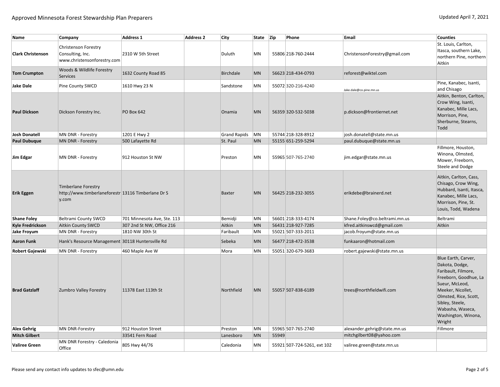| Name                     | Company                                                                                   | Address 1                   | <b>Address 2</b> | <b>City</b>         | State Zip |       | Phone                       | <b>Email</b>                  | <b>Counties</b>                                                                                                                                                                                                               |
|--------------------------|-------------------------------------------------------------------------------------------|-----------------------------|------------------|---------------------|-----------|-------|-----------------------------|-------------------------------|-------------------------------------------------------------------------------------------------------------------------------------------------------------------------------------------------------------------------------|
| <b>Clark Christenson</b> | Christenson Forestry<br>Consulting, Inc.<br>www.christensonforestry.com                   | 2310 W 5th Street           |                  | Duluth              | MN        |       | 55806 218-760-2444          | ChristensonForestry@gmail.com | St. Louis, Carlton,<br>Itasca, southern Lake,<br>northern Pine, northern<br>Aitkin                                                                                                                                            |
| <b>Tom Crumpton</b>      | Woods & Wildlife Forestry<br>Services                                                     | 1632 County Road 85         |                  | Birchdale           | <b>MN</b> |       | 56623 218-434-0793          | reforest@wiktel.com           |                                                                                                                                                                                                                               |
| <b>Jake Dale</b>         | Pine County SWCD                                                                          | 1610 Hwy 23 N               |                  | Sandstone           | MN        |       | 55072320-216-4240           | Jake.dale@co.pine.mn.us       | Pine, Kanabec, Isanti,<br>and Chisago                                                                                                                                                                                         |
| <b>Paul Dickson</b>      | Dickson Forestry Inc.                                                                     | <b>PO Box 642</b>           |                  | Onamia              | <b>MN</b> |       | 56359 320-532-5038          | p.dickson@frontiernet.net     | Aitkin, Benton, Carlton,<br>Crow Wing, Isanti,<br>Kanabec, Mille Lacs,<br>Morrison, Pine,<br>Sherburne, Stearns,<br>Todd                                                                                                      |
| <b>Josh Donatell</b>     | MN DNR - Forestry                                                                         | 1201 E Hwy 2                |                  | <b>Grand Rapids</b> | MN        |       | 55744 218-328-8912          | josh.donatell@state.mn.us     |                                                                                                                                                                                                                               |
| <b>Paul Dubuque</b>      | MN DNR - Forestry                                                                         | 500 Lafayette Rd            |                  | St. Paul            | <b>MN</b> |       | 55155 651-259-5294          | paul.dubuque@state.mn.us      |                                                                                                                                                                                                                               |
| Jim Edgar                | MN DNR - Forestry                                                                         | 912 Houston St NW           |                  | Preston             | MN        |       | 55965 507-765-2740          | jim.edgar@state.mn.us         | Fillmore, Houston,<br>Winona, Olmsted,<br>Mower, Freeborn,<br>Steele and Dodge                                                                                                                                                |
| <b>Erik Eggen</b>        | <b>Timberlane Forestry</b><br>http://www.timberlaneforestr 13116 Timberlane Dr S<br>y.com |                             |                  | <b>Baxter</b>       | <b>MN</b> |       | 56425 218-232-3055          | erikdebe@brainerd.net         | Aitkin, Carlton, Cass,<br>Chisago, Crow Wing,<br>Hubbard, Isanti, Itasca,<br>Kanabec, Mille Lacs,<br>Morrison, Pine, St.<br>Louis, Todd, Wadena                                                                               |
| <b>Shane Foley</b>       | <b>Beltrami County SWCD</b>                                                               | 701 Minnesota Ave, Ste. 113 |                  | Bemidji             | MN        |       | 56601 218-333-4174          | Shane.Foley@co.beltrami.mn.us | Beltrami                                                                                                                                                                                                                      |
| <b>Kyle Fredrickson</b>  | Aitkin County SWCD                                                                        | 307 2nd St NW, Office 216   |                  | Aitkin              | MN        |       | 56431 218-927-7285          | kfred.aitkinswcd@gmail.com    | Aitkin                                                                                                                                                                                                                        |
| <b>Jake Froyum</b>       | MN DNR - Forestry                                                                         | 1810 NW 30th St             |                  | Faribault           | MN        |       | 55021 507-333-2011          | jacob.froyum@state.mn.us      |                                                                                                                                                                                                                               |
| <b>Aaron Funk</b>        | Hank's Resource Management 30118 Huntersville Rd                                          |                             |                  | Sebeka              | <b>MN</b> |       | 56477 218-472-3538          | funkaaron@hotmail.com         |                                                                                                                                                                                                                               |
| Robert Gajewski          | MN DNR - Forestry                                                                         | 460 Maple Ave W             |                  | Mora                | MN        |       | 55051320-679-3683           | robert.gajewski@state.mn.us   |                                                                                                                                                                                                                               |
| <b>Brad Gatzlaff</b>     | Zumbro Valley Forestry                                                                    | 11378 East 113th St         |                  | Northfield          | <b>MN</b> |       | 55057 507-838-6189          | trees@northfieldwifi.com      | Blue Earth, Carver,<br>Dakota, Dodge,<br>Faribault, Filmore,<br>Freeborn, Goodhue, La<br>Sueur, McLeod,<br>Meeker, Nicollet,<br>Olmsted, Rice, Scott,<br>Sibley, Steele,<br>Wabasha, Waseca,<br>Washington, Winona,<br>Wright |
| <b>Alex Gehrig</b>       | <b>MN DNR-Forestry</b>                                                                    | 912 Houston Street          |                  | Preston             | MN        |       | 55965 507-765-2740          | alexander.gehrig@state.mn.us  | Fillmore                                                                                                                                                                                                                      |
| <b>Mitch Gilbert</b>     |                                                                                           | 33541 Fern Road             |                  | Lanesboro           | MN        | 55949 |                             | mitchgilbert08@yahoo.com      |                                                                                                                                                                                                                               |
| <b>Valiree Green</b>     | MN DNR Forestry - Caledonia<br>Office                                                     | 805 Hwy 44/76               |                  | Caledonia           | MN        |       | 55921 507-724-5261, ext 102 | valiree.green@state.mn.us     |                                                                                                                                                                                                                               |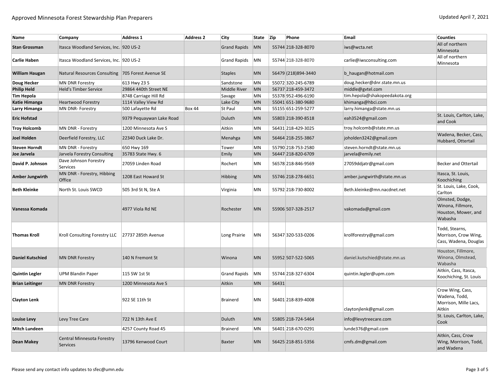| Name                    | Company                                           | Address 1                | <b>Address 2</b> | City                | State     | <b>Zip</b> | Phone                | <b>Email</b>                  | <b>Counties</b>                                                        |
|-------------------------|---------------------------------------------------|--------------------------|------------------|---------------------|-----------|------------|----------------------|-------------------------------|------------------------------------------------------------------------|
| <b>Stan Grossman</b>    | Itasca Woodland Services, Inc. 920 US-2           |                          |                  | <b>Grand Rapids</b> | MN        |            | 55744 218-328-8070   | iws@wcta.net                  | All of northern<br>Minnesota                                           |
| <b>Carlie Haben</b>     | Itasca Woodland Services, Inc. 920 US-2           |                          |                  | <b>Grand Rapids</b> | MN        |            | 55744 218-328-8070   | carlie@iwsconsulting.com      | All of northern<br>Minnesota                                           |
| <b>William Haugan</b>   | Natural Resources Consulting 705 Forest Avenue SE |                          |                  | <b>Staples</b>      | <b>MN</b> |            | 56479 (218) 894-3440 | b haugan@hotmail.com          |                                                                        |
| Doug Hecker             | <b>MN DNR Forestry</b>                            | 613 Hwy 23 S             |                  | Sandstone           | MN        |            | 55072 320-245-6789   | doug.hecker@dnr.state.mn.us   |                                                                        |
| <b>Philip Held</b>      | <b>Held's Timber Service</b>                      | 29864 440th Street NE    |                  | Middle River        | MN        |            | 56737 218-459-3472   | middle@gvtel.com              |                                                                        |
| <b>Tim Hepola</b>       |                                                   | 8748 Carriage Hill Rd    |                  | Savage              | MN        |            | 55378 952-496-6190   | tim.hepola@shakopeedakota.org |                                                                        |
| <b>Katie Himanga</b>    | <b>Heartwood Forestry</b>                         | 1114 Valley View Rd      |                  | Lake City           | <b>MN</b> |            | 55041 651-380-9680   | khimanga@hbci.com             |                                                                        |
| Larry Himanga           | MN DNR- Forestry                                  | 500 Lafayette Rd         | <b>Box 44</b>    | St Paul             | MN        |            | 55155 651-259-5277   | larry.himanga@state.mn.us     |                                                                        |
| <b>Eric Hofstad</b>     |                                                   | 9379 Pequaywan Lake Road |                  | Duluth              | <b>MN</b> |            | 55803 218-390-8518   | eah3524@gmail.com             | St. Louis, Carlton, Lake,<br>and Cook                                  |
| <b>Troy Holcomb</b>     | MN DNR - Forestry                                 | 1200 Minnesota Ave S     |                  | Aitkin              | MN        |            | 56431 218-429-3025   | troy.holcomb@state.mn.us      |                                                                        |
| Joel Holden             | Deerfield Forestry, LLC                           | 22340 Duck Lake Dr.      |                  | Menahga             | <b>MN</b> |            | 56464 218-255-3867   | joholden3242@gmail.com        | Wadena, Becker, Cass,<br>Hubbard, Ottertail                            |
| <b>Steven Horndt</b>    | MN DNR - Forestry                                 | 650 Hwy 169              |                  | Tower               | MN        |            | 55790 218-753-2580   | steven.horndt@state.mn.us     |                                                                        |
| Joe Jarvela             | Jarvela Forestry Consulting                       | 35783 State Hwy. 6       |                  | Emily               | <b>MN</b> |            | 56447 218-820-6709   | jarvela@emily.net             |                                                                        |
| David P. Johnson        | Dave Johnson Forestry<br>Services                 | 27059 Linden Road        |                  | Rochert             | MN        |            | 56578 218-846-9569   | 27059ddjatr@gmail.com         | <b>Becker and Ottertail</b>                                            |
| Amber Jungwirth         | MN DNR - Forestry, Hibbing<br>Office              | 1208 East Howard St      |                  | Hibbing             | <b>MN</b> |            | 55746 218-278-6651   | amber.jungwirth@state.mn.us   | Itasca, St. Louis,<br>Koochiching                                      |
| <b>Beth Kleinke</b>     | North St. Louis SWCD                              | 505 3rd St N, Ste A      |                  | Virginia            | MN        |            | 55792 218-730-8002   | Beth.kleinke@mn.nacdnet.net   | St. Louis, Lake, Cook,<br>Carlton                                      |
| Vanessa Komada          |                                                   | 4977 Viola Rd NE         |                  | Rochester           | MN        |            | 55906 507-328-2517   | vakomada@gmail.com            | Olmsted, Dodge,<br>Winona, Fillmore,<br>Houston, Mower, and<br>Wabasha |
| <b>Thomas Kroll</b>     | Kroll Consulting Forestry LLC                     | 27737 285th Avenue       |                  | Long Prairie        | MN        |            | 56347 320-533-0206   | krollforestry@gmail.com       | Todd, Stearns,<br>Morrison, Crow Wing,<br>Cass, Wadena, Douglas        |
| <b>Daniel Kutschied</b> | <b>MN DNR Forestry</b>                            | 140 N Fremont St         |                  | Winona              | <b>MN</b> |            | 55952 507-522-5065   | daniel.kutschied@state.mn.us  | Houston, Fillmore,<br>Winona, Olmstead,<br>Wabasha                     |
| <b>Quintin Legler</b>   | <b>UPM Blandin Paper</b>                          | 115 SW 1st St            |                  | <b>Grand Rapids</b> | MN        |            | 55744 218-327-6304   | quintin.legler@upm.com        | Aitkin, Cass, Itasca,<br>Koochiching, St. Louis                        |
| <b>Brian Leitinger</b>  | <b>MN DNR Forestry</b>                            | 1200 Minnesota Ave S     |                  | Aitkin              | <b>MN</b> | 56431      |                      |                               |                                                                        |
| <b>Clayton Lenk</b>     |                                                   | 922 SE 11th St           |                  | <b>Brainerd</b>     | MN        |            | 56401 218-839-4008   | claytonjlenk@gmail.com        | Crow Wing, Cass,<br>Wadena, Todd,<br>Morrison, Mille Lacs,<br>Aitkin   |
| <b>Louise Levy</b>      | Levy Tree Care                                    | 722 N 13th Ave E         |                  | Duluth              | MN        |            | 55805 218-724-5464   | info@levytreecare.com         | St. Louis, Carlton, Lake,<br>Cook                                      |
| <b>Mitch Lundeen</b>    |                                                   | 4257 County Road 45      |                  | <b>Brainerd</b>     | MN        |            | 56401 218-670-0291   | lunde376@gmail.com            |                                                                        |
| <b>Dean Makey</b>       | Central Minnesota Forestry<br><b>Services</b>     | 13796 Kenwood Court      |                  | <b>Baxter</b>       | <b>MN</b> |            | 56425 218-851-5356   | cmfs.dm@gmail.com             | Aitkin, Cass, Crow<br>Wing, Morrison, Todd,<br>and Wadena              |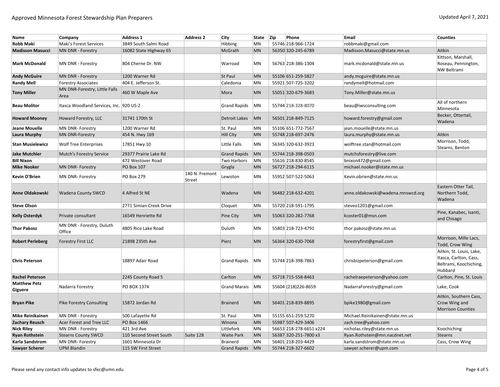| Name                                  | Company                                 | <b>Address 1</b>        | <b>Address 2</b>         | City                | State     | Zip | Phone                   | Email                             | <b>Counties</b>                                                                         |
|---------------------------------------|-----------------------------------------|-------------------------|--------------------------|---------------------|-----------|-----|-------------------------|-----------------------------------|-----------------------------------------------------------------------------------------|
| <b>Robb Maki</b>                      | Maki's Forest Services                  | 3849 South Salmi Road   |                          | Hibbing             | MN        |     | 55746 218-966-1724      | robbmaki@gmail.com                |                                                                                         |
| <b>Madisson Masucci</b>               | MN DNR - Forestry                       | 16082 State Highway 65  |                          | McGrath             | MN        |     | 56350 320-245-6789      | Madisson.Masucci@state.mn.us      | Aitkin                                                                                  |
|                                       |                                         |                         |                          |                     |           |     |                         |                                   | Kittson, Marshall,                                                                      |
| <b>Mark McDonald</b>                  | MN DNR - Forestry                       | 804 Cherne Dr. NW       |                          | Warroad             | MN        |     | 56763 218-386-1304      | mark.mcdonald@state.mn.us         | Roseau, Pennington,                                                                     |
|                                       |                                         |                         |                          |                     |           |     |                         |                                   | NW Beltrami                                                                             |
| <b>Andy McGuire</b>                   | MN DNR - Forestry                       | 1200 Warner Rd          |                          | St Paul             | MN        |     | 55106 651-259-5827      | andy.mcguire@state.mn.us          |                                                                                         |
| <b>Randy Mell</b>                     | <b>Forestry Associates</b>              | 404 E. Jefferson St.    |                          | Caledonia           | MN        |     | 55921 507-725-3202      | randymell@hotmail.com             |                                                                                         |
| <b>Tony Miller</b>                    | MN DNR-Forestry, Little Falls<br>Area   | 460 W Maple Ave         |                          | Mora                | <b>MN</b> |     | 55051 320-679-3683      | Tony.Miller@state.mn.us           |                                                                                         |
| <b>Beau Molitor</b>                   | Itasca Woodland Services, Inc. 920 US-2 |                         |                          | <b>Grand Rapids</b> | MN        |     | 55744 218-328-8070      | beau@iwsconsulting.com            | All of northern<br>Minnesota                                                            |
| <b>Howard Mooney</b>                  | Howard Forestry, LLC                    | 31741 170th St          |                          | Detroit Lakes       | <b>MN</b> |     | 56501 218-849-7125      | howard.forestry@gmail.com         | Becker, Ottertail,<br>Wadena                                                            |
| Jeane Mouelle                         | MN DNR- Forestry                        | 1200 Warner Rd          |                          | St. Paul            | MN        |     | 55106 651-772-7567      | jean.mouelle@state.mn.us          |                                                                                         |
| <b>Laura Murphy</b>                   | <b>MN DNR-Forestry</b>                  | 454 N. Hwy 169          |                          | <b>Hill City</b>    | MN        |     | 55748 218-697-2476      | laura.murphy@state.mn.us          | Aitkin                                                                                  |
| <b>Stan Musielewicz</b>               | <b>Wolf Tree Enterprises</b>            | 17851 Hwy 10            |                          | Little Falls        | <b>MN</b> |     | 56345 320-632-3923      | wolftree.stan@hotmail.com         | Morrison, Todd,<br>Stearns, Benton                                                      |
| <b>Jake Mutchler</b>                  | Mutch's Forestry Service                | 29377 Prairie Lake Rd   |                          | <b>Grand Rapids</b> | MN        |     | 55744 218-398-0503      | mutchsforestry@live.com           |                                                                                         |
| <b>Bill Nixon</b>                     |                                         | 472 Westover Road       |                          | Two Harbors         | MN        |     | 55616 218-830-8545      | bnixon472@gmail.com               |                                                                                         |
| <b>Mike Nooker</b>                    | MN DNR- Forestry                        | <b>PO Box 107</b>       |                          | Grygla              | MN        |     | 56727 218-294-6115      | michael.nooker@state.mn.us        |                                                                                         |
| Kevin O'Brien                         | MN DNR- Forestry                        | <b>PO Box 279</b>       | 140 N. Fremont<br>Street | Lewiston            | MN        |     | 55952 507-522-5063      | Kevin.obrien@state.mn.us          |                                                                                         |
| Anne Oldakowski                       | <b>Wadena County SWCD</b>               | 4 Alfred St NE          |                          | Wadena              | <b>MN</b> |     | 56482 218-632-4201      | anne.oldakowski@wadena.mnswcd.org | Eastern Otter Tail,<br>Northern Todd,<br>Wadena                                         |
| <b>Steve Olson</b>                    |                                         | 2771 Simian Creek Drive |                          | Cloquet             | MN        |     | 55720 218-591-1795      | steveo1201@gmail.com              |                                                                                         |
| <b>Kelly Osterdyk</b>                 | Private consultant                      | 16549 Henriette Rd      |                          | Pine City           | <b>MN</b> |     | 55063 320-282-7768      | kcoster01@msn.com                 | Pine, Kanabec, Isanti,<br>and Chisago                                                   |
| <b>Thor Pakosz</b>                    | MN DNR - Forestry, Duluth<br>Office     | 4805 Rice Lake Road     |                          | Duluth              | MN        |     | 55803 218-723-4791      | thor.pakosz@state.mn.us           |                                                                                         |
| <b>Robert Perleberg</b>               | <b>Forestry First LLC</b>               | 21898 235th Ave         |                          | Pierz               | <b>MN</b> |     | 56364 320-630-7068      | forestryfirst@gmail.com           | Morrison, Mille Lacs,<br>Todd, Crow Wing                                                |
| <b>Chris Peterson</b>                 |                                         | 18897 Adair Road        |                          | <b>Grand Rapids</b> | MN        |     | 55744 218-398-7863      | chrisbizpeterson@gmail.com        | Aitkin, St. Louis, Lake,<br>Itasca, Carlton, Cass,<br>Beltrami, Koochiching,<br>Hubbard |
| <b>Rachel Peterson</b>                |                                         | 2245 County Road 5      |                          | Carlton             | <b>MN</b> |     | 55718 715-558-8463      | rachelraepeterson@yahoo.com       | Carlton, Pine, St. Louis                                                                |
| <b>Matthew Petz</b><br><b>Giguere</b> | Nadarra Forestry                        | PO BOX 1374             |                          | <b>Grand Marais</b> | MN        |     | 55604 (218) 226-8659    | NadarraForestry@gmail.com         | Lake, Cook                                                                              |
| <b>Bryan Pike</b>                     | <b>Pike Forestry Consulting</b>         | 15872 Jordan Rd         |                          | <b>Brainerd</b>     | <b>MN</b> |     | 56401 218-839-8895      | bpike1980@gmail.com               | Aitkin, Southern Cass,<br>Crow Wing and<br><b>Morrison Counties</b>                     |
| <b>Mike Reinikainen</b>               | MN DNR - Forestry                       | 500 Lafayette Rd        |                          | St. Paul            | MN        |     | 55155 651-259-5270      | Michael.Reinikainen@state.mn.us   |                                                                                         |
| <b>Zachary Reusch</b>                 | Acer Forest and Tree LLC                | PO Box 1466             |                          | Winona              | MN        |     | 55987 507-429-3406      | zach.tree@yahoo.com               |                                                                                         |
| <b>Nick Riley</b>                     | MN DNR - Forestry                       | 421 3rd Ave             |                          | Littlefork          | MN        |     | 56653 218-278-6651 x224 | nicholas.riley@state.mn.us        | Koochiching                                                                             |
| <b>Ryan Rothstein</b>                 | <b>Stearns County SWCD</b>              | 110 Second Street South | Suite 128                | <b>Waite Park</b>   | MN        |     | 56387 320-251-7800 x3   | Ryan.Rothstein@mn.nacdnet.net     | Stearns                                                                                 |
| <b>Karla Sandstrom</b>                | MN DNR- Forestry                        | 1601 Minnesota Dr       |                          | <b>Brainerd</b>     | MN        |     | 56401 218-203-4429      | karla.sandstrom@state.mn.us       | Cass, Crow Wing                                                                         |
| <b>Sawyer Scherer</b>                 | <b>UPM Blandin</b>                      | 115 SW First Street     |                          | <b>Grand Rapids</b> | <b>MN</b> |     | 55744 218-327-6602      | sawyer.scherer@upm.com            |                                                                                         |